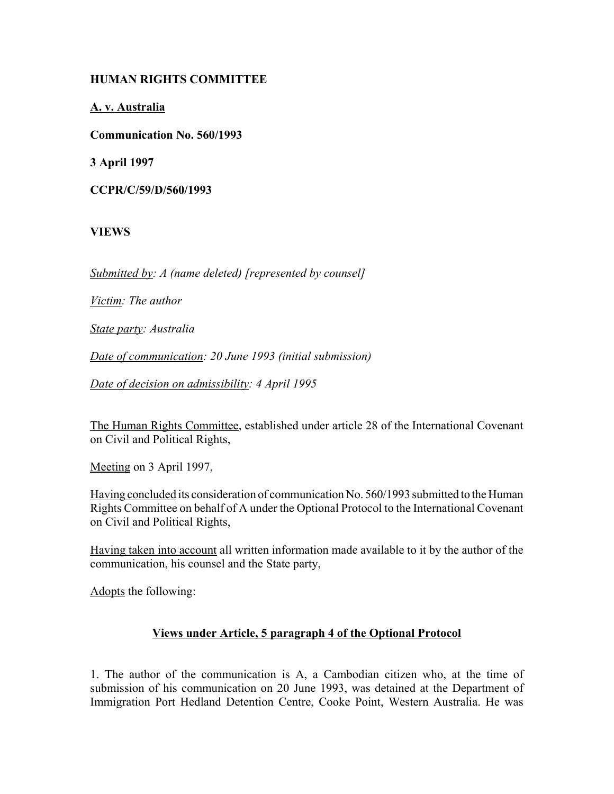## **HUMAN RIGHTS COMMITTEE**

**A. v. Australia**

**Communication No. 560/1993**

**3 April 1997**

**CCPR/C/59/D/560/1993**

## **VIEWS**

*Submitted by: A (name deleted) [represented by counsel]*

*Victim: The author*

*State party: Australia*

*Date of communication: 20 June 1993 (initial submission)*

*Date of decision on admissibility: 4 April 1995*

The Human Rights Committee, established under article 28 of the International Covenant on Civil and Political Rights,

Meeting on 3 April 1997,

Having concluded its consideration of communication No. 560/1993 submitted to the Human Rights Committee on behalf of A under the Optional Protocol to the International Covenant on Civil and Political Rights,

Having taken into account all written information made available to it by the author of the communication, his counsel and the State party,

Adopts the following:

## **Views under Article, 5 paragraph 4 of the Optional Protocol**

1. The author of the communication is A, a Cambodian citizen who, at the time of submission of his communication on 20 June 1993, was detained at the Department of Immigration Port Hedland Detention Centre, Cooke Point, Western Australia. He was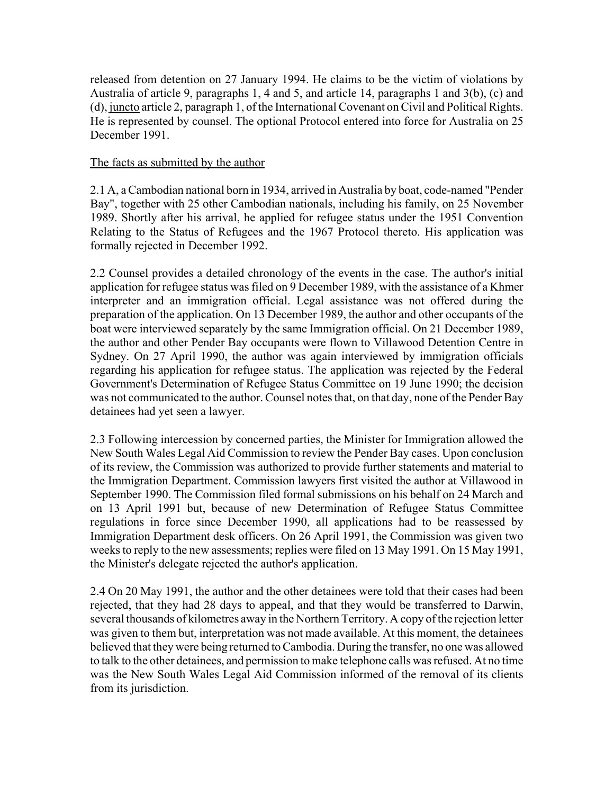released from detention on 27 January 1994. He claims to be the victim of violations by Australia of article 9, paragraphs 1, 4 and 5, and article 14, paragraphs 1 and 3(b), (c) and (d), juncto article 2, paragraph 1, of the International Covenant on Civil and Political Rights. He is represented by counsel. The optional Protocol entered into force for Australia on 25 December 1991.

## The facts as submitted by the author

2.1 A, a Cambodian national born in 1934, arrived in Australia by boat, code-named "Pender Bay", together with 25 other Cambodian nationals, including his family, on 25 November 1989. Shortly after his arrival, he applied for refugee status under the 1951 Convention Relating to the Status of Refugees and the 1967 Protocol thereto. His application was formally rejected in December 1992.

2.2 Counsel provides a detailed chronology of the events in the case. The author's initial application for refugee status was filed on 9 December 1989, with the assistance of a Khmer interpreter and an immigration official. Legal assistance was not offered during the preparation of the application. On 13 December 1989, the author and other occupants of the boat were interviewed separately by the same Immigration official. On 21 December 1989, the author and other Pender Bay occupants were flown to Villawood Detention Centre in Sydney. On 27 April 1990, the author was again interviewed by immigration officials regarding his application for refugee status. The application was rejected by the Federal Government's Determination of Refugee Status Committee on 19 June 1990; the decision was not communicated to the author. Counsel notes that, on that day, none of the Pender Bay detainees had yet seen a lawyer.

2.3 Following intercession by concerned parties, the Minister for Immigration allowed the New South Wales Legal Aid Commission to review the Pender Bay cases. Upon conclusion of its review, the Commission was authorized to provide further statements and material to the Immigration Department. Commission lawyers first visited the author at Villawood in September 1990. The Commission filed formal submissions on his behalf on 24 March and on 13 April 1991 but, because of new Determination of Refugee Status Committee regulations in force since December 1990, all applications had to be reassessed by Immigration Department desk officers. On 26 April 1991, the Commission was given two weeks to reply to the new assessments; replies were filed on 13 May 1991. On 15 May 1991, the Minister's delegate rejected the author's application.

2.4 On 20 May 1991, the author and the other detainees were told that their cases had been rejected, that they had 28 days to appeal, and that they would be transferred to Darwin, several thousands of kilometres away in the Northern Territory. A copy of the rejection letter was given to them but, interpretation was not made available. At this moment, the detainees believed that they were being returned to Cambodia. During the transfer, no one was allowed to talk to the other detainees, and permission to make telephone calls was refused. At no time was the New South Wales Legal Aid Commission informed of the removal of its clients from its jurisdiction.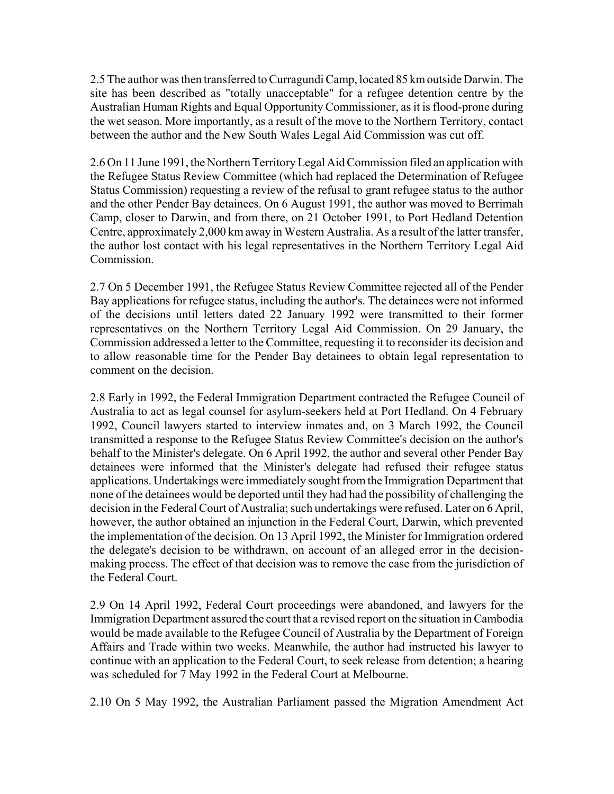2.5 The author was then transferred to Curragundi Camp, located 85 km outside Darwin. The site has been described as "totally unacceptable" for a refugee detention centre by the Australian Human Rights and Equal Opportunity Commissioner, as it is flood-prone during the wet season. More importantly, as a result of the move to the Northern Territory, contact between the author and the New South Wales Legal Aid Commission was cut off.

2.6 On 11 June 1991, the Northern Territory Legal Aid Commission filed an application with the Refugee Status Review Committee (which had replaced the Determination of Refugee Status Commission) requesting a review of the refusal to grant refugee status to the author and the other Pender Bay detainees. On 6 August 1991, the author was moved to Berrimah Camp, closer to Darwin, and from there, on 21 October 1991, to Port Hedland Detention Centre, approximately 2,000 km away in Western Australia. As a result of the latter transfer, the author lost contact with his legal representatives in the Northern Territory Legal Aid Commission.

2.7 On 5 December 1991, the Refugee Status Review Committee rejected all of the Pender Bay applications for refugee status, including the author's. The detainees were not informed of the decisions until letters dated 22 January 1992 were transmitted to their former representatives on the Northern Territory Legal Aid Commission. On 29 January, the Commission addressed a letter to the Committee, requesting it to reconsider its decision and to allow reasonable time for the Pender Bay detainees to obtain legal representation to comment on the decision.

2.8 Early in 1992, the Federal Immigration Department contracted the Refugee Council of Australia to act as legal counsel for asylum-seekers held at Port Hedland. On 4 February 1992, Council lawyers started to interview inmates and, on 3 March 1992, the Council transmitted a response to the Refugee Status Review Committee's decision on the author's behalf to the Minister's delegate. On 6 April 1992, the author and several other Pender Bay detainees were informed that the Minister's delegate had refused their refugee status applications. Undertakings were immediately sought from the Immigration Department that none of the detainees would be deported until they had had the possibility of challenging the decision in the Federal Court of Australia; such undertakings were refused. Later on 6 April, however, the author obtained an injunction in the Federal Court, Darwin, which prevented the implementation of the decision. On 13 April 1992, the Minister for Immigration ordered the delegate's decision to be withdrawn, on account of an alleged error in the decisionmaking process. The effect of that decision was to remove the case from the jurisdiction of the Federal Court.

2.9 On 14 April 1992, Federal Court proceedings were abandoned, and lawyers for the Immigration Department assured the court that a revised report on the situation in Cambodia would be made available to the Refugee Council of Australia by the Department of Foreign Affairs and Trade within two weeks. Meanwhile, the author had instructed his lawyer to continue with an application to the Federal Court, to seek release from detention; a hearing was scheduled for 7 May 1992 in the Federal Court at Melbourne.

2.10 On 5 May 1992, the Australian Parliament passed the Migration Amendment Act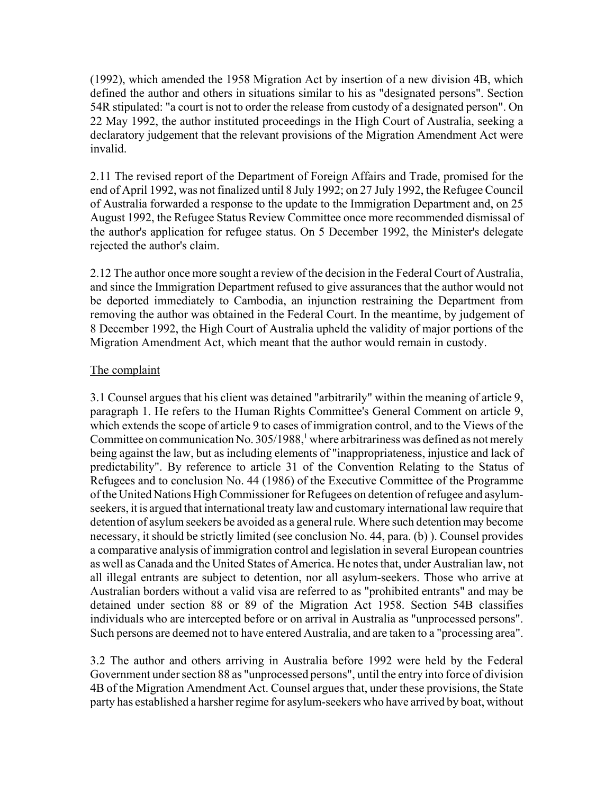(1992), which amended the 1958 Migration Act by insertion of a new division 4B, which defined the author and others in situations similar to his as "designated persons". Section 54R stipulated: "a court is not to order the release from custody of a designated person". On 22 May 1992, the author instituted proceedings in the High Court of Australia, seeking a declaratory judgement that the relevant provisions of the Migration Amendment Act were invalid.

2.11 The revised report of the Department of Foreign Affairs and Trade, promised for the end of April 1992, was not finalized until 8 July 1992; on 27 July 1992, the Refugee Council of Australia forwarded a response to the update to the Immigration Department and, on 25 August 1992, the Refugee Status Review Committee once more recommended dismissal of the author's application for refugee status. On 5 December 1992, the Minister's delegate rejected the author's claim.

2.12 The author once more sought a review of the decision in the Federal Court of Australia, and since the Immigration Department refused to give assurances that the author would not be deported immediately to Cambodia, an injunction restraining the Department from removing the author was obtained in the Federal Court. In the meantime, by judgement of 8 December 1992, the High Court of Australia upheld the validity of major portions of the Migration Amendment Act, which meant that the author would remain in custody.

## The complaint

3.1 Counsel argues that his client was detained "arbitrarily" within the meaning of article 9, paragraph 1. He refers to the Human Rights Committee's General Comment on article 9, which extends the scope of article 9 to cases of immigration control, and to the Views of the Committee on communication No.  $305/1988$ , where arbitrariness was defined as not merely being against the law, but as including elements of "inappropriateness, injustice and lack of predictability". By reference to article 31 of the Convention Relating to the Status of Refugees and to conclusion No. 44 (1986) of the Executive Committee of the Programme of the United Nations High Commissioner for Refugees on detention of refugee and asylumseekers, it is argued that international treaty law and customary international law require that detention of asylum seekers be avoided as a general rule. Where such detention may become necessary, it should be strictly limited (see conclusion No. 44, para. (b) ). Counsel provides a comparative analysis of immigration control and legislation in several European countries as well as Canada and the United States of America. He notes that, under Australian law, not all illegal entrants are subject to detention, nor all asylum-seekers. Those who arrive at Australian borders without a valid visa are referred to as "prohibited entrants" and may be detained under section 88 or 89 of the Migration Act 1958. Section 54B classifies individuals who are intercepted before or on arrival in Australia as "unprocessed persons". Such persons are deemed not to have entered Australia, and are taken to a "processing area".

3.2 The author and others arriving in Australia before 1992 were held by the Federal Government under section 88 as "unprocessed persons", until the entry into force of division 4B of the Migration Amendment Act. Counsel argues that, under these provisions, the State party has established a harsher regime for asylum-seekers who have arrived by boat, without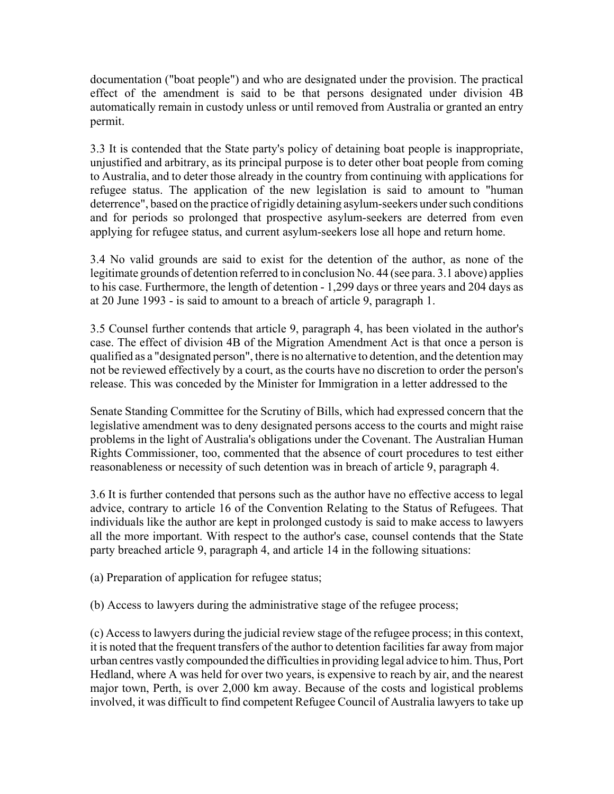documentation ("boat people") and who are designated under the provision. The practical effect of the amendment is said to be that persons designated under division 4B automatically remain in custody unless or until removed from Australia or granted an entry permit.

3.3 It is contended that the State party's policy of detaining boat people is inappropriate, unjustified and arbitrary, as its principal purpose is to deter other boat people from coming to Australia, and to deter those already in the country from continuing with applications for refugee status. The application of the new legislation is said to amount to "human deterrence", based on the practice of rigidly detaining asylum-seekers under such conditions and for periods so prolonged that prospective asylum-seekers are deterred from even applying for refugee status, and current asylum-seekers lose all hope and return home.

3.4 No valid grounds are said to exist for the detention of the author, as none of the legitimate grounds of detention referred to in conclusion No. 44 (see para. 3.1 above) applies to his case. Furthermore, the length of detention - 1,299 days or three years and 204 days as at 20 June 1993 - is said to amount to a breach of article 9, paragraph 1.

3.5 Counsel further contends that article 9, paragraph 4, has been violated in the author's case. The effect of division 4B of the Migration Amendment Act is that once a person is qualified as a "designated person", there is no alternative to detention, and the detention may not be reviewed effectively by a court, as the courts have no discretion to order the person's release. This was conceded by the Minister for Immigration in a letter addressed to the

Senate Standing Committee for the Scrutiny of Bills, which had expressed concern that the legislative amendment was to deny designated persons access to the courts and might raise problems in the light of Australia's obligations under the Covenant. The Australian Human Rights Commissioner, too, commented that the absence of court procedures to test either reasonableness or necessity of such detention was in breach of article 9, paragraph 4.

3.6 It is further contended that persons such as the author have no effective access to legal advice, contrary to article 16 of the Convention Relating to the Status of Refugees. That individuals like the author are kept in prolonged custody is said to make access to lawyers all the more important. With respect to the author's case, counsel contends that the State party breached article 9, paragraph 4, and article 14 in the following situations:

(a) Preparation of application for refugee status;

(b) Access to lawyers during the administrative stage of the refugee process;

(c) Access to lawyers during the judicial review stage of the refugee process; in this context, it is noted that the frequent transfers of the author to detention facilities far away from major urban centres vastly compounded the difficulties in providing legal advice to him. Thus, Port Hedland, where A was held for over two years, is expensive to reach by air, and the nearest major town, Perth, is over 2,000 km away. Because of the costs and logistical problems involved, it was difficult to find competent Refugee Council of Australia lawyers to take up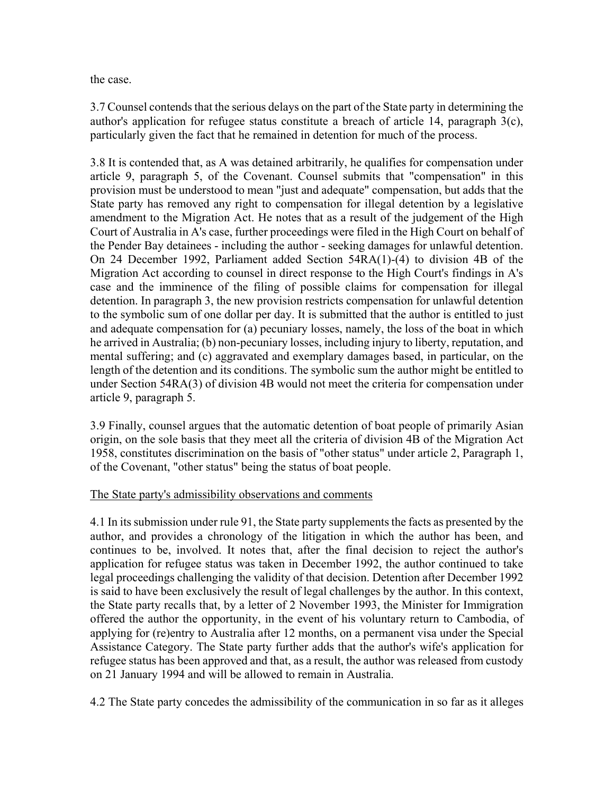the case.

3.7 Counsel contends that the serious delays on the part of the State party in determining the author's application for refugee status constitute a breach of article 14, paragraph 3(c), particularly given the fact that he remained in detention for much of the process.

3.8 It is contended that, as A was detained arbitrarily, he qualifies for compensation under article 9, paragraph 5, of the Covenant. Counsel submits that "compensation" in this provision must be understood to mean "just and adequate" compensation, but adds that the State party has removed any right to compensation for illegal detention by a legislative amendment to the Migration Act. He notes that as a result of the judgement of the High Court of Australia in A's case, further proceedings were filed in the High Court on behalf of the Pender Bay detainees - including the author - seeking damages for unlawful detention. On 24 December 1992, Parliament added Section 54RA(1)-(4) to division 4B of the Migration Act according to counsel in direct response to the High Court's findings in A's case and the imminence of the filing of possible claims for compensation for illegal detention. In paragraph 3, the new provision restricts compensation for unlawful detention to the symbolic sum of one dollar per day. It is submitted that the author is entitled to just and adequate compensation for (a) pecuniary losses, namely, the loss of the boat in which he arrived in Australia; (b) non-pecuniary losses, including injury to liberty, reputation, and mental suffering; and (c) aggravated and exemplary damages based, in particular, on the length of the detention and its conditions. The symbolic sum the author might be entitled to under Section 54RA(3) of division 4B would not meet the criteria for compensation under article 9, paragraph 5.

3.9 Finally, counsel argues that the automatic detention of boat people of primarily Asian origin, on the sole basis that they meet all the criteria of division 4B of the Migration Act 1958, constitutes discrimination on the basis of "other status" under article 2, Paragraph 1, of the Covenant, "other status" being the status of boat people.

### The State party's admissibility observations and comments

4.1 In its submission under rule 91, the State party supplements the facts as presented by the author, and provides a chronology of the litigation in which the author has been, and continues to be, involved. It notes that, after the final decision to reject the author's application for refugee status was taken in December 1992, the author continued to take legal proceedings challenging the validity of that decision. Detention after December 1992 is said to have been exclusively the result of legal challenges by the author. In this context, the State party recalls that, by a letter of 2 November 1993, the Minister for Immigration offered the author the opportunity, in the event of his voluntary return to Cambodia, of applying for (re)entry to Australia after 12 months, on a permanent visa under the Special Assistance Category. The State party further adds that the author's wife's application for refugee status has been approved and that, as a result, the author was released from custody on 21 January 1994 and will be allowed to remain in Australia.

4.2 The State party concedes the admissibility of the communication in so far as it alleges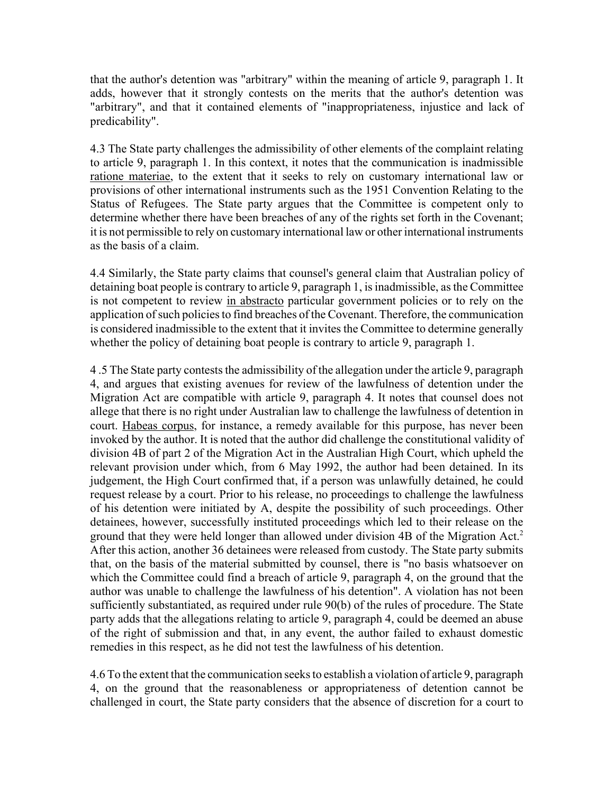that the author's detention was "arbitrary" within the meaning of article 9, paragraph 1. It adds, however that it strongly contests on the merits that the author's detention was "arbitrary", and that it contained elements of "inappropriateness, injustice and lack of predicability".

4.3 The State party challenges the admissibility of other elements of the complaint relating to article 9, paragraph 1. In this context, it notes that the communication is inadmissible ratione materiae, to the extent that it seeks to rely on customary international law or provisions of other international instruments such as the 1951 Convention Relating to the Status of Refugees. The State party argues that the Committee is competent only to determine whether there have been breaches of any of the rights set forth in the Covenant; it is not permissible to rely on customary international law or other international instruments as the basis of a claim.

4.4 Similarly, the State party claims that counsel's general claim that Australian policy of detaining boat people is contrary to article 9, paragraph 1, is inadmissible, as the Committee is not competent to review in abstracto particular government policies or to rely on the application of such policies to find breaches of the Covenant. Therefore, the communication is considered inadmissible to the extent that it invites the Committee to determine generally whether the policy of detaining boat people is contrary to article 9, paragraph 1.

4 .5 The State party contests the admissibility of the allegation under the article 9, paragraph 4, and argues that existing avenues for review of the lawfulness of detention under the Migration Act are compatible with article 9, paragraph 4. It notes that counsel does not allege that there is no right under Australian law to challenge the lawfulness of detention in court. Habeas corpus, for instance, a remedy available for this purpose, has never been invoked by the author. It is noted that the author did challenge the constitutional validity of division 4B of part 2 of the Migration Act in the Australian High Court, which upheld the relevant provision under which, from 6 May 1992, the author had been detained. In its judgement, the High Court confirmed that, if a person was unlawfully detained, he could request release by a court. Prior to his release, no proceedings to challenge the lawfulness of his detention were initiated by A, despite the possibility of such proceedings. Other detainees, however, successfully instituted proceedings which led to their release on the ground that they were held longer than allowed under division 4B of the Migration Act.<sup>2</sup> After this action, another 36 detainees were released from custody. The State party submits that, on the basis of the material submitted by counsel, there is "no basis whatsoever on which the Committee could find a breach of article 9, paragraph 4, on the ground that the author was unable to challenge the lawfulness of his detention". A violation has not been sufficiently substantiated, as required under rule 90(b) of the rules of procedure. The State party adds that the allegations relating to article 9, paragraph 4, could be deemed an abuse of the right of submission and that, in any event, the author failed to exhaust domestic remedies in this respect, as he did not test the lawfulness of his detention.

4.6 To the extent that the communication seeks to establish a violation of article 9, paragraph 4, on the ground that the reasonableness or appropriateness of detention cannot be challenged in court, the State party considers that the absence of discretion for a court to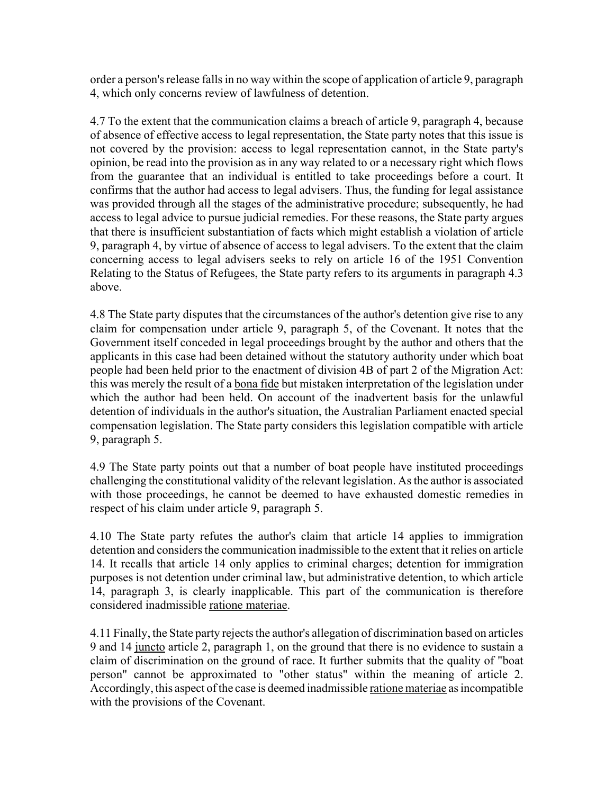order a person's release falls in no way within the scope of application of article 9, paragraph 4, which only concerns review of lawfulness of detention.

4.7 To the extent that the communication claims a breach of article 9, paragraph 4, because of absence of effective access to legal representation, the State party notes that this issue is not covered by the provision: access to legal representation cannot, in the State party's opinion, be read into the provision as in any way related to or a necessary right which flows from the guarantee that an individual is entitled to take proceedings before a court. It confirms that the author had access to legal advisers. Thus, the funding for legal assistance was provided through all the stages of the administrative procedure; subsequently, he had access to legal advice to pursue judicial remedies. For these reasons, the State party argues that there is insufficient substantiation of facts which might establish a violation of article 9, paragraph 4, by virtue of absence of access to legal advisers. To the extent that the claim concerning access to legal advisers seeks to rely on article 16 of the 1951 Convention Relating to the Status of Refugees, the State party refers to its arguments in paragraph 4.3 above.

4.8 The State party disputes that the circumstances of the author's detention give rise to any claim for compensation under article 9, paragraph 5, of the Covenant. It notes that the Government itself conceded in legal proceedings brought by the author and others that the applicants in this case had been detained without the statutory authority under which boat people had been held prior to the enactment of division 4B of part 2 of the Migration Act: this was merely the result of a bona fide but mistaken interpretation of the legislation under which the author had been held. On account of the inadvertent basis for the unlawful detention of individuals in the author's situation, the Australian Parliament enacted special compensation legislation. The State party considers this legislation compatible with article 9, paragraph 5.

4.9 The State party points out that a number of boat people have instituted proceedings challenging the constitutional validity of the relevant legislation. As the author is associated with those proceedings, he cannot be deemed to have exhausted domestic remedies in respect of his claim under article 9, paragraph 5.

4.10 The State party refutes the author's claim that article 14 applies to immigration detention and considers the communication inadmissible to the extent that it relies on article 14. It recalls that article 14 only applies to criminal charges; detention for immigration purposes is not detention under criminal law, but administrative detention, to which article 14, paragraph 3, is clearly inapplicable. This part of the communication is therefore considered inadmissible ratione materiae.

4.11 Finally, the State party rejects the author's allegation of discrimination based on articles 9 and 14 juncto article 2, paragraph 1, on the ground that there is no evidence to sustain a claim of discrimination on the ground of race. It further submits that the quality of "boat person" cannot be approximated to "other status" within the meaning of article 2. Accordingly, this aspect of the case is deemed inadmissible ratione materiae as incompatible with the provisions of the Covenant.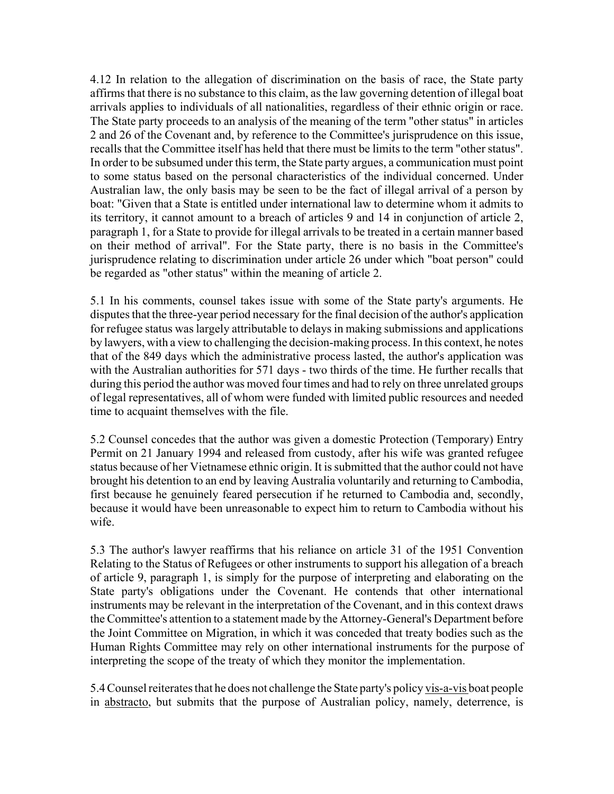4.12 In relation to the allegation of discrimination on the basis of race, the State party affirms that there is no substance to this claim, as the law governing detention of illegal boat arrivals applies to individuals of all nationalities, regardless of their ethnic origin or race. The State party proceeds to an analysis of the meaning of the term "other status" in articles 2 and 26 of the Covenant and, by reference to the Committee's jurisprudence on this issue, recalls that the Committee itself has held that there must be limits to the term "other status". In order to be subsumed under this term, the State party argues, a communication must point to some status based on the personal characteristics of the individual concerned. Under Australian law, the only basis may be seen to be the fact of illegal arrival of a person by boat: "Given that a State is entitled under international law to determine whom it admits to its territory, it cannot amount to a breach of articles 9 and 14 in conjunction of article 2, paragraph 1, for a State to provide for illegal arrivals to be treated in a certain manner based on their method of arrival". For the State party, there is no basis in the Committee's jurisprudence relating to discrimination under article 26 under which "boat person" could be regarded as "other status" within the meaning of article 2.

5.1 In his comments, counsel takes issue with some of the State party's arguments. He disputes that the three-year period necessary for the final decision of the author's application for refugee status was largely attributable to delays in making submissions and applications by lawyers, with a view to challenging the decision-making process. In this context, he notes that of the 849 days which the administrative process lasted, the author's application was with the Australian authorities for 571 days - two thirds of the time. He further recalls that during this period the author was moved four times and had to rely on three unrelated groups of legal representatives, all of whom were funded with limited public resources and needed time to acquaint themselves with the file.

5.2 Counsel concedes that the author was given a domestic Protection (Temporary) Entry Permit on 21 January 1994 and released from custody, after his wife was granted refugee status because of her Vietnamese ethnic origin. It is submitted that the author could not have brought his detention to an end by leaving Australia voluntarily and returning to Cambodia, first because he genuinely feared persecution if he returned to Cambodia and, secondly, because it would have been unreasonable to expect him to return to Cambodia without his wife.

5.3 The author's lawyer reaffirms that his reliance on article 31 of the 1951 Convention Relating to the Status of Refugees or other instruments to support his allegation of a breach of article 9, paragraph 1, is simply for the purpose of interpreting and elaborating on the State party's obligations under the Covenant. He contends that other international instruments may be relevant in the interpretation of the Covenant, and in this context draws the Committee's attention to a statement made by the Attorney-General's Department before the Joint Committee on Migration, in which it was conceded that treaty bodies such as the Human Rights Committee may rely on other international instruments for the purpose of interpreting the scope of the treaty of which they monitor the implementation.

5.4 Counsel reiterates that he does not challenge the State party's policy vis-a-vis boat people in abstracto, but submits that the purpose of Australian policy, namely, deterrence, is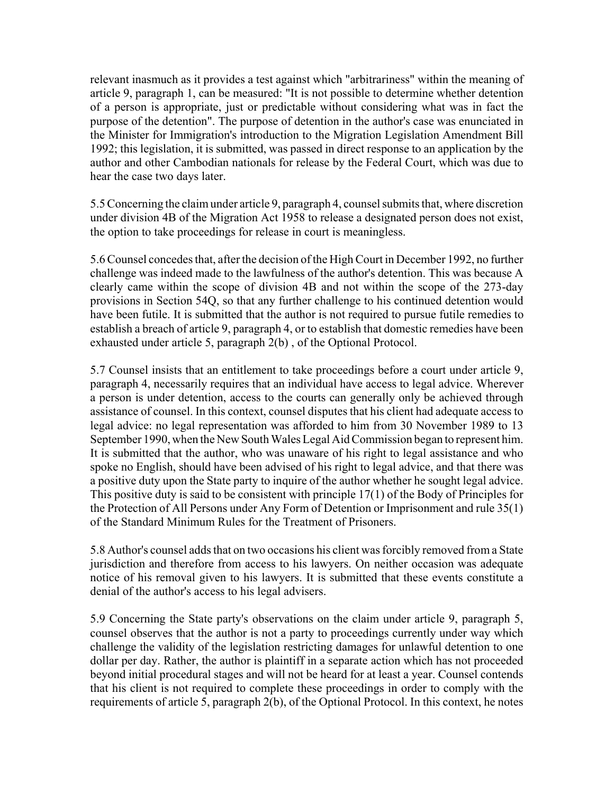relevant inasmuch as it provides a test against which "arbitrariness" within the meaning of article 9, paragraph 1, can be measured: "It is not possible to determine whether detention of a person is appropriate, just or predictable without considering what was in fact the purpose of the detention". The purpose of detention in the author's case was enunciated in the Minister for Immigration's introduction to the Migration Legislation Amendment Bill 1992; this legislation, it is submitted, was passed in direct response to an application by the author and other Cambodian nationals for release by the Federal Court, which was due to hear the case two days later.

5.5 Concerning the claim under article 9, paragraph 4, counsel submits that, where discretion under division 4B of the Migration Act 1958 to release a designated person does not exist, the option to take proceedings for release in court is meaningless.

5.6 Counsel concedes that, after the decision of the High Court in December 1992, no further challenge was indeed made to the lawfulness of the author's detention. This was because A clearly came within the scope of division 4B and not within the scope of the 273-day provisions in Section 54Q, so that any further challenge to his continued detention would have been futile. It is submitted that the author is not required to pursue futile remedies to establish a breach of article 9, paragraph 4, or to establish that domestic remedies have been exhausted under article 5, paragraph 2(b) , of the Optional Protocol.

5.7 Counsel insists that an entitlement to take proceedings before a court under article 9, paragraph 4, necessarily requires that an individual have access to legal advice. Wherever a person is under detention, access to the courts can generally only be achieved through assistance of counsel. In this context, counsel disputes that his client had adequate access to legal advice: no legal representation was afforded to him from 30 November 1989 to 13 September 1990, when the New South Wales Legal Aid Commission began to represent him. It is submitted that the author, who was unaware of his right to legal assistance and who spoke no English, should have been advised of his right to legal advice, and that there was a positive duty upon the State party to inquire of the author whether he sought legal advice. This positive duty is said to be consistent with principle 17(1) of the Body of Principles for the Protection of All Persons under Any Form of Detention or Imprisonment and rule 35(1) of the Standard Minimum Rules for the Treatment of Prisoners.

5.8 Author's counsel adds that on two occasions his client was forcibly removed from a State jurisdiction and therefore from access to his lawyers. On neither occasion was adequate notice of his removal given to his lawyers. It is submitted that these events constitute a denial of the author's access to his legal advisers.

5.9 Concerning the State party's observations on the claim under article 9, paragraph 5, counsel observes that the author is not a party to proceedings currently under way which challenge the validity of the legislation restricting damages for unlawful detention to one dollar per day. Rather, the author is plaintiff in a separate action which has not proceeded beyond initial procedural stages and will not be heard for at least a year. Counsel contends that his client is not required to complete these proceedings in order to comply with the requirements of article 5, paragraph 2(b), of the Optional Protocol. In this context, he notes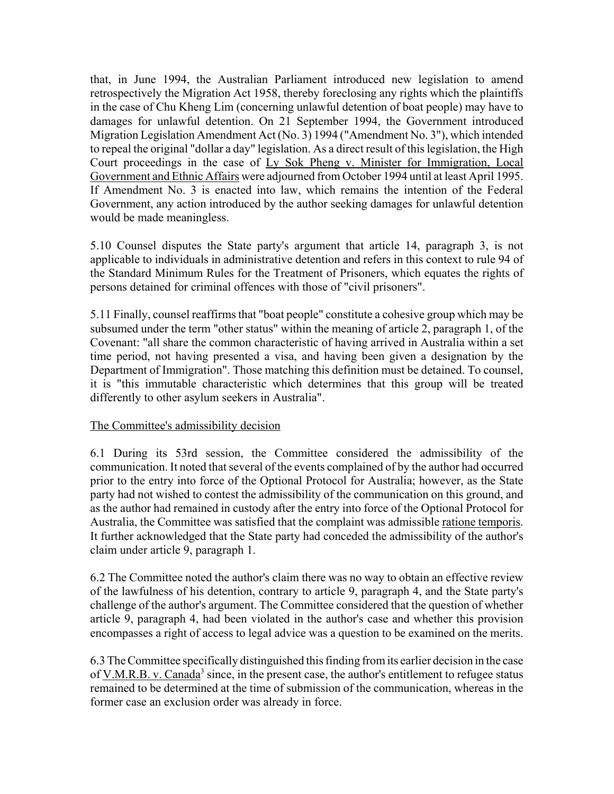that, in June 1994, the Australian Parliament introduced new legislation to amend retrospectively the Migration Act 1958, thereby foreclosing any rights which the plaintiffs in the case of Chu Kheng Lim (concerning unlawful detention of boat people) may have to damages for unlawful detention. On 21 September 1994, the Government introduced Migration Legislation Amendment Act (No. 3) 1994 ("Amendment No. 3"), which intended to repeal the original "dollar a day" legislation. As a direct result of this legislation, the High Court proceedings in the case of Ly Sok Pheng v. Minister for Immigration, Local Government and Ethnic Affairs were adjourned from October 1994 until at least April 1995. If Amendment No. 3 is enacted into law, which remains the intention of the Federal Government, any action introduced by the author seeking damages for unlawful detention would be made meaningless.

5.10 Counsel disputes the State party's argument that article 14, paragraph 3, is not applicable to individuals in administrative detention and refers in this context to rule 94 of the Standard Minimum Rules for the Treatment of Prisoners, which equates the rights of persons detained for criminal offences with those of "civil prisoners".

5.11 Finally, counsel reaffirms that "boat people" constitute a cohesive group which may be subsumed under the term "other status" within the meaning of article 2, paragraph 1, of the Covenant: "all share the common characteristic of having arrived in Australia within a set time period, not having presented a visa, and having been given a designation by the Department of Immigration". Those matching this definition must be detained. To counsel, it is "this immutable characteristic which determines that this group will be treated differently to other asylum seekers in Australia".

## The Committee's admissibility decision

6.1 During its 53rd session, the Committee considered the admissibility of the communication. It noted that several of the events complained of by the author had occurred prior to the entry into force of the Optional Protocol for Australia; however, as the State party had not wished to contest the admissibility of the communication on this ground, and as the author had remained in custody after the entry into force of the Optional Protocol for Australia, the Committee was satisfied that the complaint was admissible ratione temporis. It further acknowledged that the State party had conceded the admissibility of the author's claim under article 9, paragraph 1.

6.2 The Committee noted the author's claim there was no way to obtain an effective review of the lawfulness of his detention, contrary to article 9, paragraph 4, and the State party's challenge of the author's argument. The Committee considered that the question of whether article 9, paragraph 4, had been violated in the author's case and whether this provision encompasses a right of access to legal advice was a question to be examined on the merits.

6.3 The Committee specifically distinguished this finding from its earlier decision in the case of <u>V.M.R.B. v. Canada</u><sup>3</sup> since, in the present case, the author's entitlement to refugee status remained to be determined at the time of submission of the communication, whereas in the former case an exclusion order was already in force.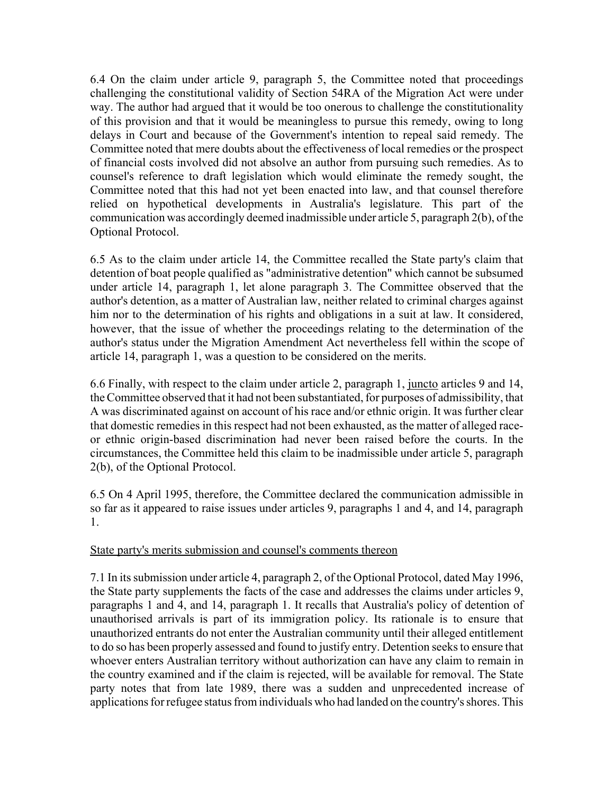6.4 On the claim under article 9, paragraph 5, the Committee noted that proceedings challenging the constitutional validity of Section 54RA of the Migration Act were under way. The author had argued that it would be too onerous to challenge the constitutionality of this provision and that it would be meaningless to pursue this remedy, owing to long delays in Court and because of the Government's intention to repeal said remedy. The Committee noted that mere doubts about the effectiveness of local remedies or the prospect of financial costs involved did not absolve an author from pursuing such remedies. As to counsel's reference to draft legislation which would eliminate the remedy sought, the Committee noted that this had not yet been enacted into law, and that counsel therefore relied on hypothetical developments in Australia's legislature. This part of the communication was accordingly deemed inadmissible under article 5, paragraph 2(b), of the Optional Protocol.

6.5 As to the claim under article 14, the Committee recalled the State party's claim that detention of boat people qualified as "administrative detention" which cannot be subsumed under article 14, paragraph 1, let alone paragraph 3. The Committee observed that the author's detention, as a matter of Australian law, neither related to criminal charges against him nor to the determination of his rights and obligations in a suit at law. It considered, however, that the issue of whether the proceedings relating to the determination of the author's status under the Migration Amendment Act nevertheless fell within the scope of article 14, paragraph 1, was a question to be considered on the merits.

6.6 Finally, with respect to the claim under article 2, paragraph 1, juncto articles 9 and 14, the Committee observed that it had not been substantiated, for purposes of admissibility, that A was discriminated against on account of his race and/or ethnic origin. It was further clear that domestic remedies in this respect had not been exhausted, as the matter of alleged raceor ethnic origin-based discrimination had never been raised before the courts. In the circumstances, the Committee held this claim to be inadmissible under article 5, paragraph 2(b), of the Optional Protocol.

6.5 On 4 April 1995, therefore, the Committee declared the communication admissible in so far as it appeared to raise issues under articles 9, paragraphs 1 and 4, and 14, paragraph 1.

### State party's merits submission and counsel's comments thereon

7.1 In its submission under article 4, paragraph 2, of the Optional Protocol, dated May 1996, the State party supplements the facts of the case and addresses the claims under articles 9, paragraphs 1 and 4, and 14, paragraph 1. It recalls that Australia's policy of detention of unauthorised arrivals is part of its immigration policy. Its rationale is to ensure that unauthorized entrants do not enter the Australian community until their alleged entitlement to do so has been properly assessed and found to justify entry. Detention seeks to ensure that whoever enters Australian territory without authorization can have any claim to remain in the country examined and if the claim is rejected, will be available for removal. The State party notes that from late 1989, there was a sudden and unprecedented increase of applications for refugee status from individuals who had landed on the country's shores. This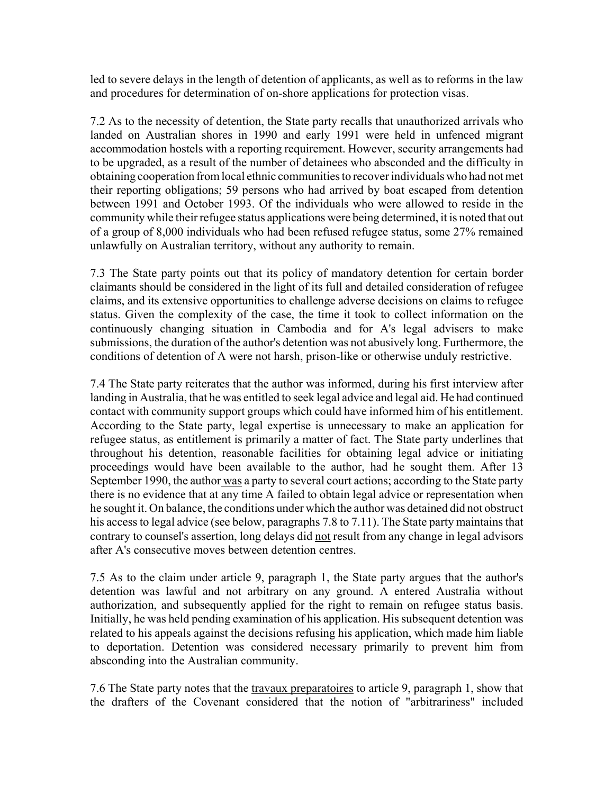led to severe delays in the length of detention of applicants, as well as to reforms in the law and procedures for determination of on-shore applications for protection visas.

7.2 As to the necessity of detention, the State party recalls that unauthorized arrivals who landed on Australian shores in 1990 and early 1991 were held in unfenced migrant accommodation hostels with a reporting requirement. However, security arrangements had to be upgraded, as a result of the number of detainees who absconded and the difficulty in obtaining cooperation from local ethnic communities to recover individuals who had not met their reporting obligations; 59 persons who had arrived by boat escaped from detention between 1991 and October 1993. Of the individuals who were allowed to reside in the community while their refugee status applications were being determined, it is noted that out of a group of 8,000 individuals who had been refused refugee status, some 27% remained unlawfully on Australian territory, without any authority to remain.

7.3 The State party points out that its policy of mandatory detention for certain border claimants should be considered in the light of its full and detailed consideration of refugee claims, and its extensive opportunities to challenge adverse decisions on claims to refugee status. Given the complexity of the case, the time it took to collect information on the continuously changing situation in Cambodia and for A's legal advisers to make submissions, the duration of the author's detention was not abusively long. Furthermore, the conditions of detention of A were not harsh, prison-like or otherwise unduly restrictive.

7.4 The State party reiterates that the author was informed, during his first interview after landing in Australia, that he was entitled to seek legal advice and legal aid. He had continued contact with community support groups which could have informed him of his entitlement. According to the State party, legal expertise is unnecessary to make an application for refugee status, as entitlement is primarily a matter of fact. The State party underlines that throughout his detention, reasonable facilities for obtaining legal advice or initiating proceedings would have been available to the author, had he sought them. After 13 September 1990, the author was a party to several court actions; according to the State party there is no evidence that at any time A failed to obtain legal advice or representation when he sought it. On balance, the conditions under which the author was detained did not obstruct his access to legal advice (see below, paragraphs 7.8 to 7.11). The State party maintains that contrary to counsel's assertion, long delays did not result from any change in legal advisors after A's consecutive moves between detention centres.

7.5 As to the claim under article 9, paragraph 1, the State party argues that the author's detention was lawful and not arbitrary on any ground. A entered Australia without authorization, and subsequently applied for the right to remain on refugee status basis. Initially, he was held pending examination of his application. His subsequent detention was related to his appeals against the decisions refusing his application, which made him liable to deportation. Detention was considered necessary primarily to prevent him from absconding into the Australian community.

7.6 The State party notes that the travaux preparatoires to article 9, paragraph 1, show that the drafters of the Covenant considered that the notion of "arbitrariness" included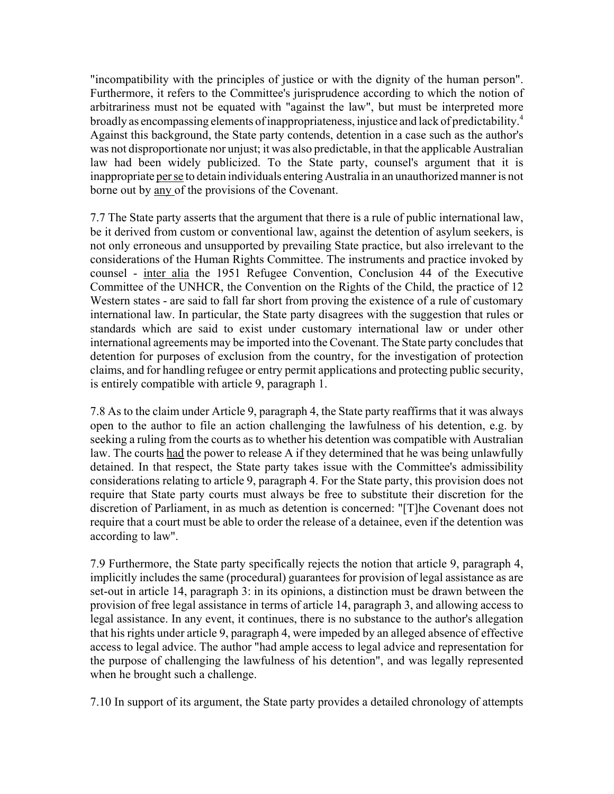"incompatibility with the principles of justice or with the dignity of the human person". Furthermore, it refers to the Committee's jurisprudence according to which the notion of arbitrariness must not be equated with "against the law", but must be interpreted more broadly as encompassing elements of inappropriateness, injustice and lack of predictability.<sup>4</sup> Against this background, the State party contends, detention in a case such as the author's was not disproportionate nor unjust; it was also predictable, in that the applicable Australian law had been widely publicized. To the State party, counsel's argument that it is inappropriate per se to detain individuals entering Australia in an unauthorized manner is not borne out by any of the provisions of the Covenant.

7.7 The State party asserts that the argument that there is a rule of public international law, be it derived from custom or conventional law, against the detention of asylum seekers, is not only erroneous and unsupported by prevailing State practice, but also irrelevant to the considerations of the Human Rights Committee. The instruments and practice invoked by counsel - inter alia the 1951 Refugee Convention, Conclusion 44 of the Executive Committee of the UNHCR, the Convention on the Rights of the Child, the practice of 12 Western states - are said to fall far short from proving the existence of a rule of customary international law. In particular, the State party disagrees with the suggestion that rules or standards which are said to exist under customary international law or under other international agreements may be imported into the Covenant. The State party concludes that detention for purposes of exclusion from the country, for the investigation of protection claims, and for handling refugee or entry permit applications and protecting public security, is entirely compatible with article 9, paragraph 1.

7.8 As to the claim under Article 9, paragraph 4, the State party reaffirms that it was always open to the author to file an action challenging the lawfulness of his detention, e.g. by seeking a ruling from the courts as to whether his detention was compatible with Australian law. The courts had the power to release A if they determined that he was being unlawfully detained. In that respect, the State party takes issue with the Committee's admissibility considerations relating to article 9, paragraph 4. For the State party, this provision does not require that State party courts must always be free to substitute their discretion for the discretion of Parliament, in as much as detention is concerned: "[T]he Covenant does not require that a court must be able to order the release of a detainee, even if the detention was according to law".

7.9 Furthermore, the State party specifically rejects the notion that article 9, paragraph 4, implicitly includes the same (procedural) guarantees for provision of legal assistance as are set-out in article 14, paragraph 3: in its opinions, a distinction must be drawn between the provision of free legal assistance in terms of article 14, paragraph 3, and allowing access to legal assistance. In any event, it continues, there is no substance to the author's allegation that his rights under article 9, paragraph 4, were impeded by an alleged absence of effective access to legal advice. The author "had ample access to legal advice and representation for the purpose of challenging the lawfulness of his detention", and was legally represented when he brought such a challenge.

7.10 In support of its argument, the State party provides a detailed chronology of attempts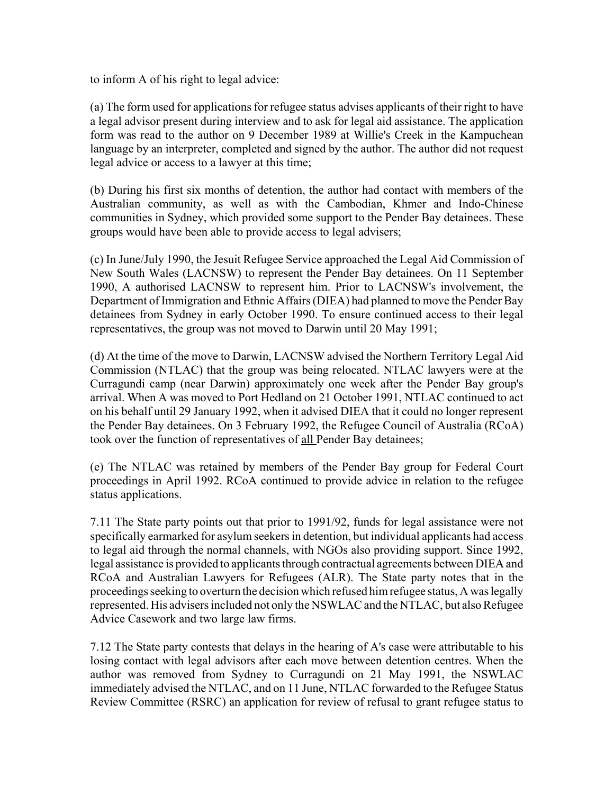to inform A of his right to legal advice:

(a) The form used for applications for refugee status advises applicants of their right to have a legal advisor present during interview and to ask for legal aid assistance. The application form was read to the author on 9 December 1989 at Willie's Creek in the Kampuchean language by an interpreter, completed and signed by the author. The author did not request legal advice or access to a lawyer at this time;

(b) During his first six months of detention, the author had contact with members of the Australian community, as well as with the Cambodian, Khmer and Indo-Chinese communities in Sydney, which provided some support to the Pender Bay detainees. These groups would have been able to provide access to legal advisers;

(c) In June/July 1990, the Jesuit Refugee Service approached the Legal Aid Commission of New South Wales (LACNSW) to represent the Pender Bay detainees. On 11 September 1990, A authorised LACNSW to represent him. Prior to LACNSW's involvement, the Department of Immigration and Ethnic Affairs (DIEA) had planned to move the Pender Bay detainees from Sydney in early October 1990. To ensure continued access to their legal representatives, the group was not moved to Darwin until 20 May 1991;

(d) At the time of the move to Darwin, LACNSW advised the Northern Territory Legal Aid Commission (NTLAC) that the group was being relocated. NTLAC lawyers were at the Curragundi camp (near Darwin) approximately one week after the Pender Bay group's arrival. When A was moved to Port Hedland on 21 October 1991, NTLAC continued to act on his behalf until 29 January 1992, when it advised DIEA that it could no longer represent the Pender Bay detainees. On 3 February 1992, the Refugee Council of Australia (RCoA) took over the function of representatives of all Pender Bay detainees;

(e) The NTLAC was retained by members of the Pender Bay group for Federal Court proceedings in April 1992. RCoA continued to provide advice in relation to the refugee status applications.

7.11 The State party points out that prior to 1991/92, funds for legal assistance were not specifically earmarked for asylum seekers in detention, but individual applicants had access to legal aid through the normal channels, with NGOs also providing support. Since 1992, legal assistance is provided to applicants through contractual agreements between DIEA and RCoA and Australian Lawyers for Refugees (ALR). The State party notes that in the proceedings seeking to overturn the decision which refused him refugee status, A was legally represented. His advisers included not only the NSWLAC and the NTLAC, but also Refugee Advice Casework and two large law firms.

7.12 The State party contests that delays in the hearing of A's case were attributable to his losing contact with legal advisors after each move between detention centres. When the author was removed from Sydney to Curragundi on 21 May 1991, the NSWLAC immediately advised the NTLAC, and on 11 June, NTLAC forwarded to the Refugee Status Review Committee (RSRC) an application for review of refusal to grant refugee status to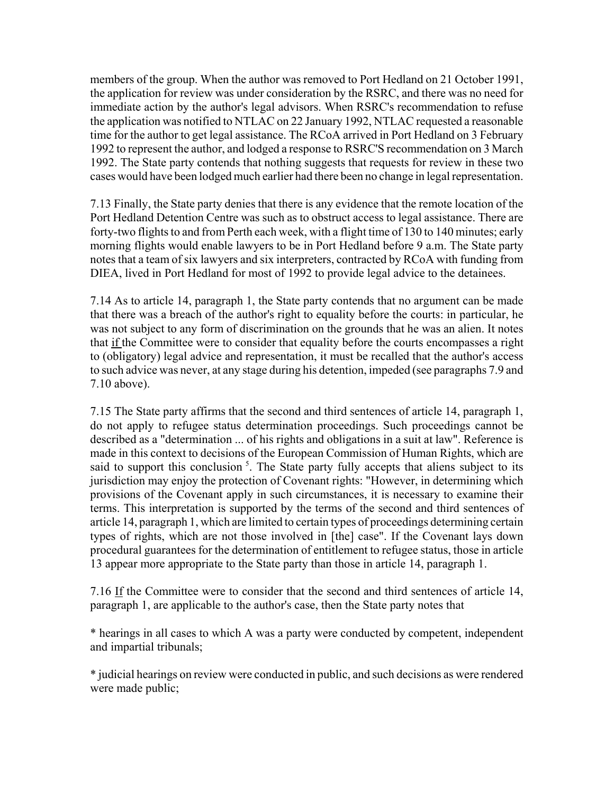members of the group. When the author was removed to Port Hedland on 21 October 1991, the application for review was under consideration by the RSRC, and there was no need for immediate action by the author's legal advisors. When RSRC's recommendation to refuse the application was notified to NTLAC on 22 January 1992, NTLAC requested a reasonable time for the author to get legal assistance. The RCoA arrived in Port Hedland on 3 February 1992 to represent the author, and lodged a response to RSRC'S recommendation on 3 March 1992. The State party contends that nothing suggests that requests for review in these two cases would have been lodged much earlier had there been no change in legal representation.

7.13 Finally, the State party denies that there is any evidence that the remote location of the Port Hedland Detention Centre was such as to obstruct access to legal assistance. There are forty-two flights to and from Perth each week, with a flight time of 130 to 140 minutes; early morning flights would enable lawyers to be in Port Hedland before 9 a.m. The State party notes that a team of six lawyers and six interpreters, contracted by RCoA with funding from DIEA, lived in Port Hedland for most of 1992 to provide legal advice to the detainees.

7.14 As to article 14, paragraph 1, the State party contends that no argument can be made that there was a breach of the author's right to equality before the courts: in particular, he was not subject to any form of discrimination on the grounds that he was an alien. It notes that if the Committee were to consider that equality before the courts encompasses a right to (obligatory) legal advice and representation, it must be recalled that the author's access to such advice was never, at any stage during his detention, impeded (see paragraphs 7.9 and 7.10 above).

7.15 The State party affirms that the second and third sentences of article 14, paragraph 1, do not apply to refugee status determination proceedings. Such proceedings cannot be described as a "determination ... of his rights and obligations in a suit at law". Reference is made in this context to decisions of the European Commission of Human Rights, which are said to support this conclusion  $5$ . The State party fully accepts that aliens subject to its jurisdiction may enjoy the protection of Covenant rights: "However, in determining which provisions of the Covenant apply in such circumstances, it is necessary to examine their terms. This interpretation is supported by the terms of the second and third sentences of article 14, paragraph 1, which are limited to certain types of proceedings determining certain types of rights, which are not those involved in [the] case". If the Covenant lays down procedural guarantees for the determination of entitlement to refugee status, those in article 13 appear more appropriate to the State party than those in article 14, paragraph 1.

7.16 If the Committee were to consider that the second and third sentences of article 14, paragraph 1, are applicable to the author's case, then the State party notes that

\* hearings in all cases to which A was a party were conducted by competent, independent and impartial tribunals;

\* judicial hearings on review were conducted in public, and such decisions as were rendered were made public;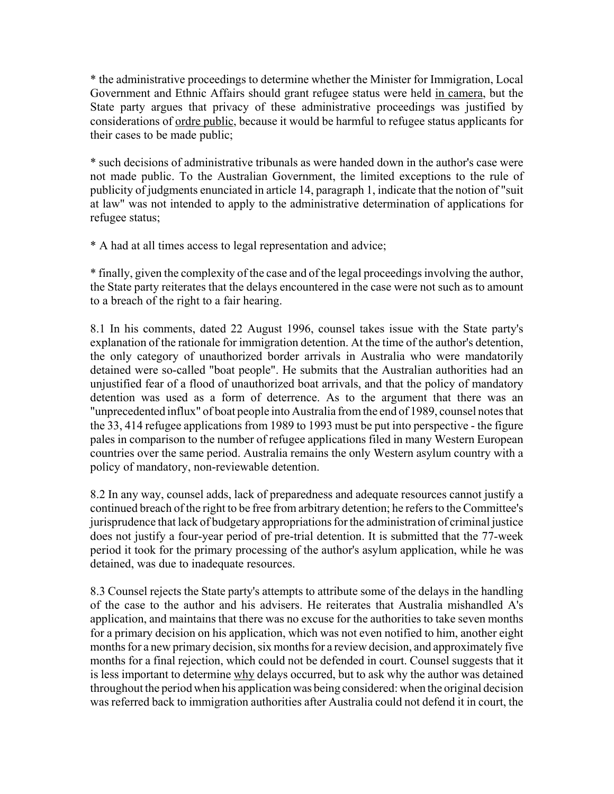\* the administrative proceedings to determine whether the Minister for Immigration, Local Government and Ethnic Affairs should grant refugee status were held in camera, but the State party argues that privacy of these administrative proceedings was justified by considerations of ordre public, because it would be harmful to refugee status applicants for their cases to be made public;

\* such decisions of administrative tribunals as were handed down in the author's case were not made public. To the Australian Government, the limited exceptions to the rule of publicity of judgments enunciated in article 14, paragraph 1, indicate that the notion of "suit at law" was not intended to apply to the administrative determination of applications for refugee status;

\* A had at all times access to legal representation and advice;

\* finally, given the complexity of the case and of the legal proceedings involving the author, the State party reiterates that the delays encountered in the case were not such as to amount to a breach of the right to a fair hearing.

8.1 In his comments, dated 22 August 1996, counsel takes issue with the State party's explanation of the rationale for immigration detention. At the time of the author's detention, the only category of unauthorized border arrivals in Australia who were mandatorily detained were so-called "boat people". He submits that the Australian authorities had an unjustified fear of a flood of unauthorized boat arrivals, and that the policy of mandatory detention was used as a form of deterrence. As to the argument that there was an "unprecedented influx" of boat people into Australia from the end of 1989, counsel notes that the 33, 414 refugee applications from 1989 to 1993 must be put into perspective - the figure pales in comparison to the number of refugee applications filed in many Western European countries over the same period. Australia remains the only Western asylum country with a policy of mandatory, non-reviewable detention.

8.2 In any way, counsel adds, lack of preparedness and adequate resources cannot justify a continued breach of the right to be free from arbitrary detention; he refers to the Committee's jurisprudence that lack of budgetary appropriations for the administration of criminal justice does not justify a four-year period of pre-trial detention. It is submitted that the 77-week period it took for the primary processing of the author's asylum application, while he was detained, was due to inadequate resources.

8.3 Counsel rejects the State party's attempts to attribute some of the delays in the handling of the case to the author and his advisers. He reiterates that Australia mishandled A's application, and maintains that there was no excuse for the authorities to take seven months for a primary decision on his application, which was not even notified to him, another eight months for a new primary decision, six months for a review decision, and approximately five months for a final rejection, which could not be defended in court. Counsel suggests that it is less important to determine why delays occurred, but to ask why the author was detained throughout the period when his application was being considered: when the original decision was referred back to immigration authorities after Australia could not defend it in court, the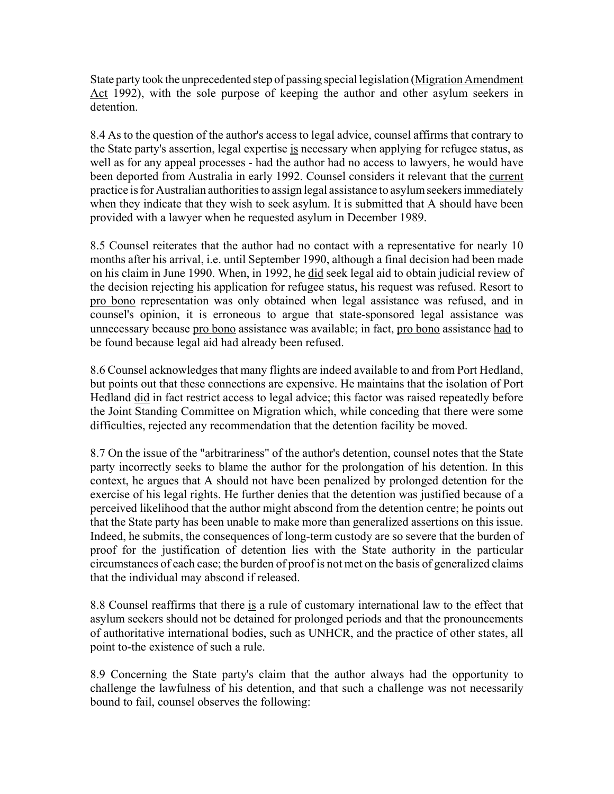State party took the unprecedented step of passing special legislation (Migration Amendment Act 1992), with the sole purpose of keeping the author and other asylum seekers in detention.

8.4 As to the question of the author's access to legal advice, counsel affirms that contrary to the State party's assertion, legal expertise is necessary when applying for refugee status, as well as for any appeal processes - had the author had no access to lawyers, he would have been deported from Australia in early 1992. Counsel considers it relevant that the current practice is for Australian authorities to assign legal assistance to asylum seekers immediately when they indicate that they wish to seek asylum. It is submitted that A should have been provided with a lawyer when he requested asylum in December 1989.

8.5 Counsel reiterates that the author had no contact with a representative for nearly 10 months after his arrival, i.e. until September 1990, although a final decision had been made on his claim in June 1990. When, in 1992, he did seek legal aid to obtain judicial review of the decision rejecting his application for refugee status, his request was refused. Resort to pro bono representation was only obtained when legal assistance was refused, and in counsel's opinion, it is erroneous to argue that state-sponsored legal assistance was unnecessary because pro bono assistance was available; in fact, pro bono assistance had to be found because legal aid had already been refused.

8.6 Counsel acknowledges that many flights are indeed available to and from Port Hedland, but points out that these connections are expensive. He maintains that the isolation of Port Hedland did in fact restrict access to legal advice; this factor was raised repeatedly before the Joint Standing Committee on Migration which, while conceding that there were some difficulties, rejected any recommendation that the detention facility be moved.

8.7 On the issue of the "arbitrariness" of the author's detention, counsel notes that the State party incorrectly seeks to blame the author for the prolongation of his detention. In this context, he argues that A should not have been penalized by prolonged detention for the exercise of his legal rights. He further denies that the detention was justified because of a perceived likelihood that the author might abscond from the detention centre; he points out that the State party has been unable to make more than generalized assertions on this issue. Indeed, he submits, the consequences of long-term custody are so severe that the burden of proof for the justification of detention lies with the State authority in the particular circumstances of each case; the burden of proof is not met on the basis of generalized claims that the individual may abscond if released.

8.8 Counsel reaffirms that there is a rule of customary international law to the effect that asylum seekers should not be detained for prolonged periods and that the pronouncements of authoritative international bodies, such as UNHCR, and the practice of other states, all point to-the existence of such a rule.

8.9 Concerning the State party's claim that the author always had the opportunity to challenge the lawfulness of his detention, and that such a challenge was not necessarily bound to fail, counsel observes the following: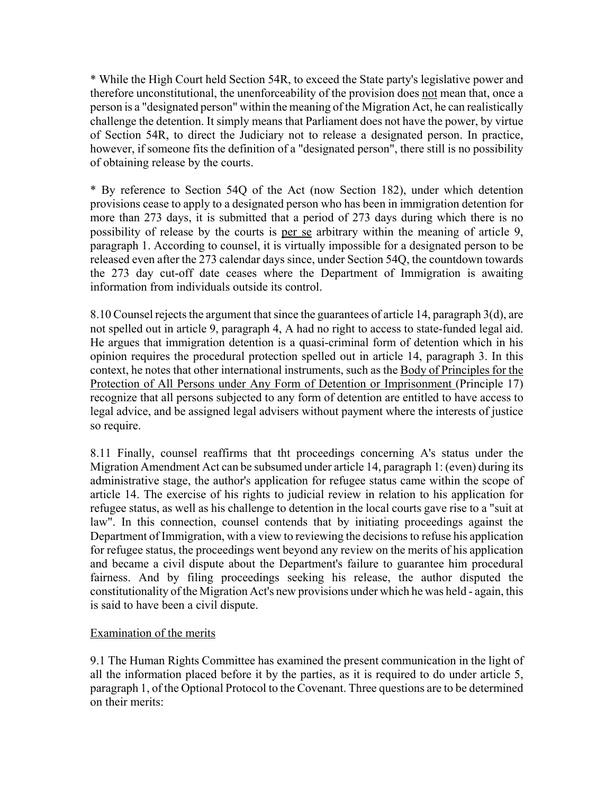\* While the High Court held Section 54R, to exceed the State party's legislative power and therefore unconstitutional, the unenforceability of the provision does not mean that, once a person is a "designated person" within the meaning of the Migration Act, he can realistically challenge the detention. It simply means that Parliament does not have the power, by virtue of Section 54R, to direct the Judiciary not to release a designated person. In practice, however, if someone fits the definition of a "designated person", there still is no possibility of obtaining release by the courts.

\* By reference to Section 54Q of the Act (now Section 182), under which detention provisions cease to apply to a designated person who has been in immigration detention for more than 273 days, it is submitted that a period of 273 days during which there is no possibility of release by the courts is per se arbitrary within the meaning of article 9, paragraph 1. According to counsel, it is virtually impossible for a designated person to be released even after the 273 calendar days since, under Section 54Q, the countdown towards the 273 day cut-off date ceases where the Department of Immigration is awaiting information from individuals outside its control.

8.10 Counsel rejects the argument that since the guarantees of article 14, paragraph 3(d), are not spelled out in article 9, paragraph 4, A had no right to access to state-funded legal aid. He argues that immigration detention is a quasi-criminal form of detention which in his opinion requires the procedural protection spelled out in article 14, paragraph 3. In this context, he notes that other international instruments, such as the Body of Principles for the Protection of All Persons under Any Form of Detention or Imprisonment (Principle 17) recognize that all persons subjected to any form of detention are entitled to have access to legal advice, and be assigned legal advisers without payment where the interests of justice so require.

8.11 Finally, counsel reaffirms that tht proceedings concerning A's status under the Migration Amendment Act can be subsumed under article 14, paragraph 1: (even) during its administrative stage, the author's application for refugee status came within the scope of article 14. The exercise of his rights to judicial review in relation to his application for refugee status, as well as his challenge to detention in the local courts gave rise to a "suit at law". In this connection, counsel contends that by initiating proceedings against the Department of Immigration, with a view to reviewing the decisions to refuse his application for refugee status, the proceedings went beyond any review on the merits of his application and became a civil dispute about the Department's failure to guarantee him procedural fairness. And by filing proceedings seeking his release, the author disputed the constitutionality of the Migration Act's new provisions under which he was held - again, this is said to have been a civil dispute.

### Examination of the merits

9.1 The Human Rights Committee has examined the present communication in the light of all the information placed before it by the parties, as it is required to do under article 5, paragraph 1, of the Optional Protocol to the Covenant. Three questions are to be determined on their merits: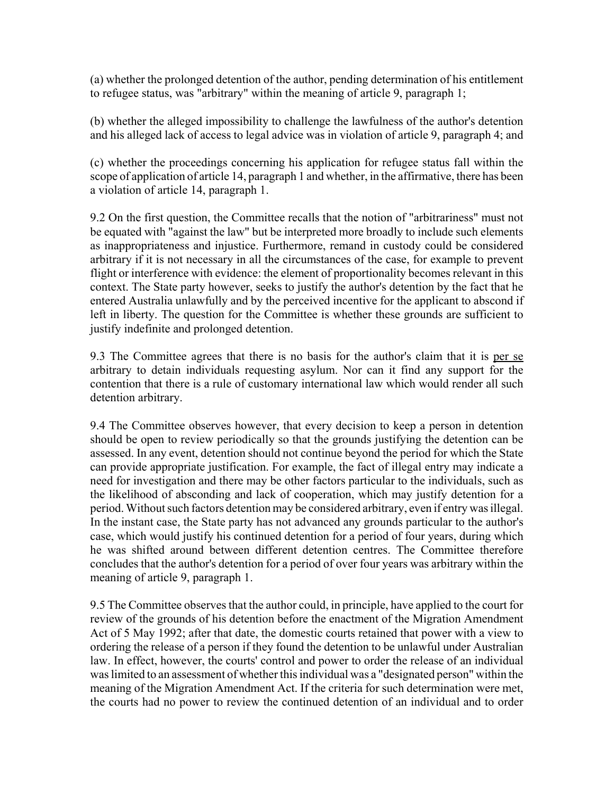(a) whether the prolonged detention of the author, pending determination of his entitlement to refugee status, was "arbitrary" within the meaning of article 9, paragraph 1;

(b) whether the alleged impossibility to challenge the lawfulness of the author's detention and his alleged lack of access to legal advice was in violation of article 9, paragraph 4; and

(c) whether the proceedings concerning his application for refugee status fall within the scope of application of article 14, paragraph 1 and whether, in the affirmative, there has been a violation of article 14, paragraph 1.

9.2 On the first question, the Committee recalls that the notion of "arbitrariness" must not be equated with "against the law" but be interpreted more broadly to include such elements as inappropriateness and injustice. Furthermore, remand in custody could be considered arbitrary if it is not necessary in all the circumstances of the case, for example to prevent flight or interference with evidence: the element of proportionality becomes relevant in this context. The State party however, seeks to justify the author's detention by the fact that he entered Australia unlawfully and by the perceived incentive for the applicant to abscond if left in liberty. The question for the Committee is whether these grounds are sufficient to justify indefinite and prolonged detention.

9.3 The Committee agrees that there is no basis for the author's claim that it is per se arbitrary to detain individuals requesting asylum. Nor can it find any support for the contention that there is a rule of customary international law which would render all such detention arbitrary.

9.4 The Committee observes however, that every decision to keep a person in detention should be open to review periodically so that the grounds justifying the detention can be assessed. In any event, detention should not continue beyond the period for which the State can provide appropriate justification. For example, the fact of illegal entry may indicate a need for investigation and there may be other factors particular to the individuals, such as the likelihood of absconding and lack of cooperation, which may justify detention for a period. Without such factors detention may be considered arbitrary, even if entry was illegal. In the instant case, the State party has not advanced any grounds particular to the author's case, which would justify his continued detention for a period of four years, during which he was shifted around between different detention centres. The Committee therefore concludes that the author's detention for a period of over four years was arbitrary within the meaning of article 9, paragraph 1.

9.5 The Committee observes that the author could, in principle, have applied to the court for review of the grounds of his detention before the enactment of the Migration Amendment Act of 5 May 1992; after that date, the domestic courts retained that power with a view to ordering the release of a person if they found the detention to be unlawful under Australian law. In effect, however, the courts' control and power to order the release of an individual was limited to an assessment of whether this individual was a "designated person" within the meaning of the Migration Amendment Act. If the criteria for such determination were met, the courts had no power to review the continued detention of an individual and to order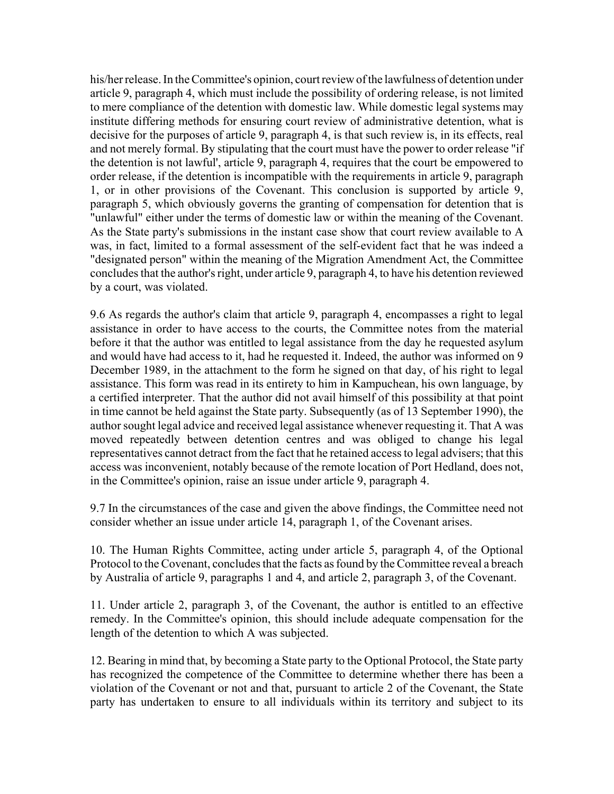his/her release. In the Committee's opinion, court review of the lawfulness of detention under article 9, paragraph 4, which must include the possibility of ordering release, is not limited to mere compliance of the detention with domestic law. While domestic legal systems may institute differing methods for ensuring court review of administrative detention, what is decisive for the purposes of article 9, paragraph 4, is that such review is, in its effects, real and not merely formal. By stipulating that the court must have the power to order release "if the detention is not lawful', article 9, paragraph 4, requires that the court be empowered to order release, if the detention is incompatible with the requirements in article 9, paragraph 1, or in other provisions of the Covenant. This conclusion is supported by article 9, paragraph 5, which obviously governs the granting of compensation for detention that is "unlawful" either under the terms of domestic law or within the meaning of the Covenant. As the State party's submissions in the instant case show that court review available to A was, in fact, limited to a formal assessment of the self-evident fact that he was indeed a "designated person" within the meaning of the Migration Amendment Act, the Committee concludes that the author's right, under article 9, paragraph 4, to have his detention reviewed by a court, was violated.

9.6 As regards the author's claim that article 9, paragraph 4, encompasses a right to legal assistance in order to have access to the courts, the Committee notes from the material before it that the author was entitled to legal assistance from the day he requested asylum and would have had access to it, had he requested it. Indeed, the author was informed on 9 December 1989, in the attachment to the form he signed on that day, of his right to legal assistance. This form was read in its entirety to him in Kampuchean, his own language, by a certified interpreter. That the author did not avail himself of this possibility at that point in time cannot be held against the State party. Subsequently (as of 13 September 1990), the author sought legal advice and received legal assistance whenever requesting it. That A was moved repeatedly between detention centres and was obliged to change his legal representatives cannot detract from the fact that he retained access to legal advisers; that this access was inconvenient, notably because of the remote location of Port Hedland, does not, in the Committee's opinion, raise an issue under article 9, paragraph 4.

9.7 In the circumstances of the case and given the above findings, the Committee need not consider whether an issue under article 14, paragraph 1, of the Covenant arises.

10. The Human Rights Committee, acting under article 5, paragraph 4, of the Optional Protocol to the Covenant, concludes that the facts as found by the Committee reveal a breach by Australia of article 9, paragraphs 1 and 4, and article 2, paragraph 3, of the Covenant.

11. Under article 2, paragraph 3, of the Covenant, the author is entitled to an effective remedy. In the Committee's opinion, this should include adequate compensation for the length of the detention to which A was subjected.

12. Bearing in mind that, by becoming a State party to the Optional Protocol, the State party has recognized the competence of the Committee to determine whether there has been a violation of the Covenant or not and that, pursuant to article 2 of the Covenant, the State party has undertaken to ensure to all individuals within its territory and subject to its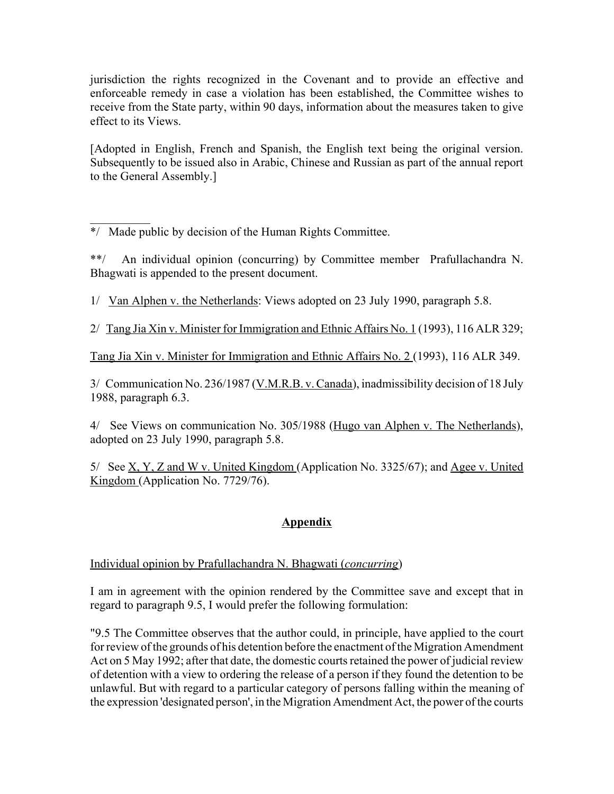jurisdiction the rights recognized in the Covenant and to provide an effective and enforceable remedy in case a violation has been established, the Committee wishes to receive from the State party, within 90 days, information about the measures taken to give effect to its Views.

[Adopted in English, French and Spanish, the English text being the original version. Subsequently to be issued also in Arabic, Chinese and Russian as part of the annual report to the General Assembly.]

 $\frac{1}{2}$ \*/ Made public by decision of the Human Rights Committee.

\*\*/ An individual opinion (concurring) by Committee member Prafullachandra N. Bhagwati is appended to the present document.

1/ Van Alphen v. the Netherlands: Views adopted on 23 July 1990, paragraph 5.8.

2/ Tang Jia Xin v. Minister for Immigration and Ethnic Affairs No. 1 (1993), 116 ALR 329;

Tang Jia Xin v. Minister for Immigration and Ethnic Affairs No. 2 (1993), 116 ALR 349.

3/ Communication No. 236/1987 (V.M.R.B. v. Canada), inadmissibility decision of 18 July 1988, paragraph 6.3.

4/ See Views on communication No. 305/1988 (Hugo van Alphen v. The Netherlands), adopted on 23 July 1990, paragraph 5.8.

5/ See X, Y, Z and W v. United Kingdom (Application No. 3325/67); and Agee v. United Kingdom (Application No. 7729/76).

# **Appendix**

# Individual opinion by Prafullachandra N. Bhagwati (*concurring*)

I am in agreement with the opinion rendered by the Committee save and except that in regard to paragraph 9.5, I would prefer the following formulation:

"9.5 The Committee observes that the author could, in principle, have applied to the court for review of the grounds of his detention before the enactment of the Migration Amendment Act on 5 May 1992; after that date, the domestic courts retained the power of judicial review of detention with a view to ordering the release of a person if they found the detention to be unlawful. But with regard to a particular category of persons falling within the meaning of the expression 'designated person', in the Migration Amendment Act, the power of the courts